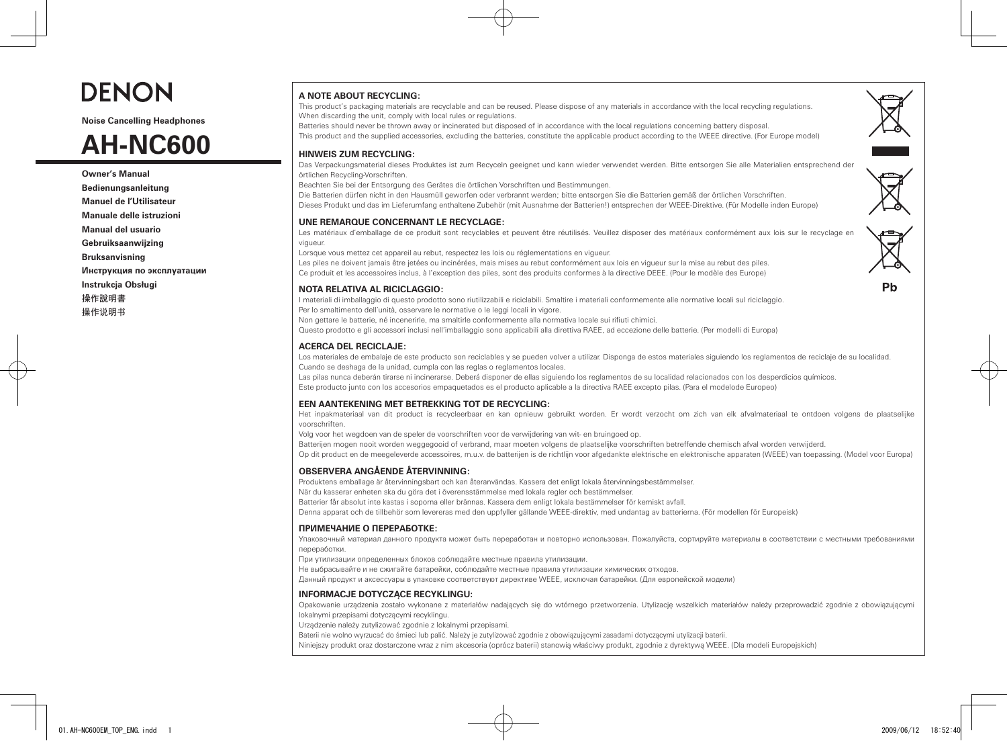

**Noise Cancelling Headphones**

# **AH-NC600**

**Owner's Manual Bedienungsanleitung Manuel de l'Utilisateur Manuale delle istruzioni Manual del usuario Gebruiksaanwijzing Bruksanvisning Инструкция по эксплуатации Instrukcja Obsługi** 操作說明書 操作说明书

# **A NOTE ABOUT RECYCLING:**

**HINWEIS ZUM RECYCLING:**

This product's packaging materials are recyclable and can be reused. Please dispose of any materials in accordance with the local recycling regulations. When discarding the unit, comply with local rules or regulations.

Batteries should never be thrown away or incinerated but disposed of in accordance with the local regulations concerning battery disposal. This product and the supplied accessories, excluding the batteries, constitute the applicable product according to the WEEE directive. (For Europe model)



Das Verpackungsmaterial dieses Produktes ist zum Recyceln geeignet und kann wieder verwendet werden. Bitte entsorgen Sie alle Materialien entsprechend der örtlichen Recycling-Vorschriften.

Beachten Sie bei der Entsorgung des Gerätes die örtlichen Vorschriften und Bestimmungen.

Die Batterien dürfen nicht in den Hausmüll geworfen oder verbrannt werden; bitte entsorgen Sie die Batterien gemäß der örtlichen Vorschriften. Dieses Produkt und das im Lieferumfang enthaltene Zubehör (mit Ausnahme der Batterien!) entsprechen der WEEE-Direktive. (Für Modelle inden Europe)

#### **UNE REMARQUE CONCERNANT LE RECYCLAGE:**

Les matériaux d'emballage de ce produit sont recyclables et peuvent être réutilisés. Veuillez disposer des matériaux conformément aux lois sur le recyclage en vigueur.

Lorsque vous mettez cet appareil au rebut, respectez les lois ou réglementations en vigueur.

Les piles ne doivent jamais être jetées ou incinérées, mais mises au rebut conformément aux lois en vigueur sur la mise au rebut des piles. Ce produit et les accessoires inclus, à l'exception des piles, sont des produits conformes à la directive DEEE. (Pour le modèle des Europe)

# **NOTA RELATIVA AL RICICLAGGIO:**

I materiali di imballaggio di questo prodotto sono riutilizzabili e riciclabili. Smaltire i materiali conformemente alle normative locali sul riciclaggio. Per lo smaltimento dell'unità, osservare le normative o le leggi locali in vigore. Non gettare le batterie, né incenerirle, ma smaltirle conformemente alla normativa locale sui rifiuti chimici. Questo prodotto e gli accessori inclusi nell'imballaggio sono applicabili alla direttiva RAEE, ad eccezione delle batterie. (Per modelli di Europa)

# **ACERCA DEL RECICLAJE:**

Los materiales de embalaje de este producto son reciclables y se pueden volver a utilizar. Disponga de estos materiales siguiendo los reglamentos de reciclaje de su localidad. Cuando se deshaga de la unidad, cumpla con las reglas o reglamentos locales.

Las pilas nunca deberán tirarse ni incinerarse. Deberá disponer de ellas siguiendo los reglamentos de su localidad relacionados con los desperdicios químicos. Este producto junto con los accesorios empaquetados es el producto aplicable a la directiva RAEE excepto pilas. (Para el modelode Europeo)

# **EEN AANTEKENING MET BETREKKING TOT DE RECYCLING:**

Het inpakmateriaal van dit product is recycleerbaar en kan opnieuw gebruikt worden. Er wordt verzocht om zich van elk afvalmateriaal te ontdoen volgens de plaatselijke voorschriften.

Volg voor het wegdoen van de speler de voorschriften voor de verwijdering van wit- en bruingoed op.

Batterijen mogen nooit worden weggegooid of verbrand, maar moeten volgens de plaatselijke voorschriften betreffende chemisch afval worden verwijderd.

Op dit product en de meegeleverde accessoires, m.u.v. de batterijen is de richtlijn voor afgedankte elektrische en elektronische apparaten (WEEE) van toepassing. (Model voor Europa)

# **OBSERVERA ANGÅENDE ÅTERVINNING:**

Produktens emballage är återvinningsbart och kan återanvändas. Kassera det enligt lokala återvinningsbestämmelser.

När du kasserar enheten ska du göra det i överensstämmelse med lokala regler och bestämmelser.

Batterier får absolut inte kastas i soporna eller brännas. Kassera dem enligt lokala bestämmelser för kemiskt avfall.

Denna apparat och de tillbehör som levereras med den uppfyller gällande WEEE-direktiv, med undantag av batterierna. (För modellen för Europeisk)

# **ПРИМЕЧАНИЕ О ПЕРЕРАБОТКЕ:**

Упаковочный материал данного продукта может быть переработан и повторно использован. Пожалуйста, сортируйте материалы в соответствии с местными требованиями переработки.

При утилизации определенных блоков соблюдайте местные правила утилизации.

Не выбрасывайте и не сжигайте батарейки, соблюдайте местные правила утилизации химических отходов.

Данный продукт и аксессуары в упаковке соответствуют директиве WEEE, исключая батарейки. (Для европейской модели)

# **INFORMACJE DOTYCZĄCE RECYKLINGU:**

Opakowanie urządzenia zostało wykonane z materiałów nadających się do wtórnego przetworzenia. Utylizację wszelkich materiałów należy przeprowadzić zgodnie z obowiązującymi lokalnymi przepisami dotyczącymi recyklingu.

Urządzenie należy zutylizować zgodnie z lokalnymi przepisami.

Baterii nie wolno wyrzucać do śmieci lub palić. Należy je zutylizować zgodnie z obowiązującymi zasadami dotyczącymi utylizacji baterii.

Niniejszy produkt oraz dostarczone wraz z nim akcesoria (oprócz baterii) stanowią właściwy produkt, zgodnie z dyrektywą WEEE. (Dla modeli Europejskich)

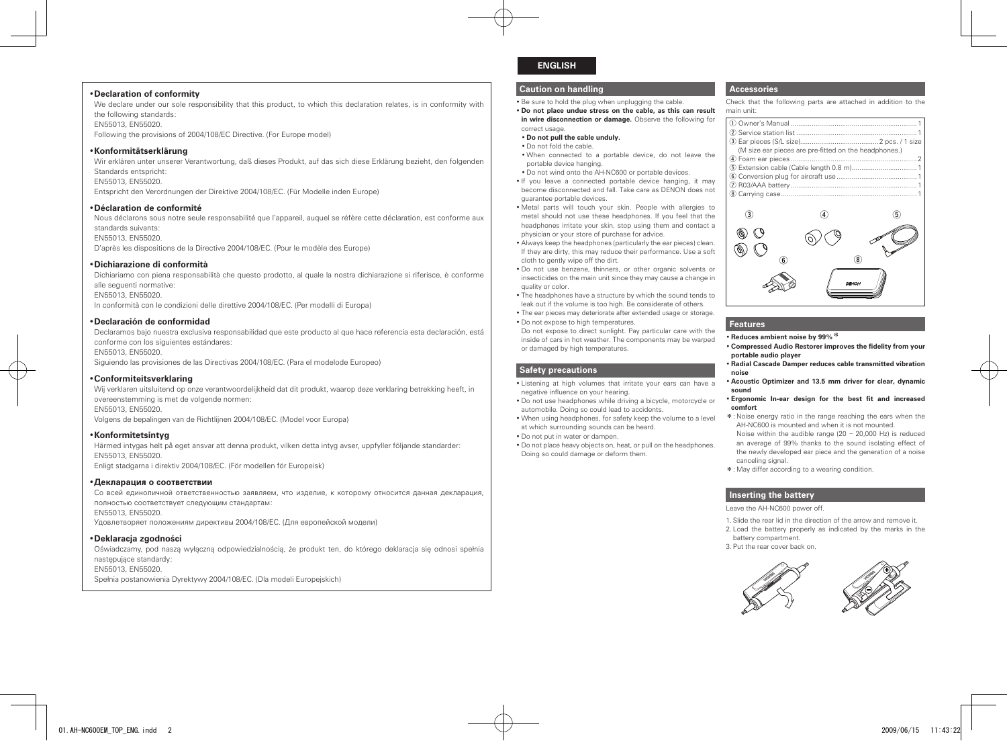#### •**Declaration of conformity**

We declare under our sole responsibility that this product, to which this declaration relates, is in conformity with the following standards: EN55013, EN55020.

Following the provisions of 2004/108/EC Directive. (For Europe model)

#### •**Konformitätserklärung**

Wir erklären unter unserer Verantwortung, daß dieses Produkt, auf das sich diese Erklärung bezieht, den folgenden Standards entspricht: EN55013, EN55020. Entspricht den Verordnungen der Direktive 2004/108/EC. (Für Modelle inden Europe)

#### •**Déclaration de conformité**

Nous déclarons sous notre seule responsabilité que l'appareil, auquel se réfère cette déclaration, est conforme aux standards suivants: EN55013, EN55020. D'après les dispositions de la Directive 2004/108/EC. (Pour le modèle des Europe)

#### •**Dichiarazione di conformità**

Dichiariamo con piena responsabilità che questo prodotto, al quale la nostra dichiarazione si riferisce, è conforme alle seguenti normative: EN55013, EN55020. In conformità con le condizioni delle direttive 2004/108/EC. (Per modelli di Europa)

#### •**Declaración de conformidad**

Declaramos bajo nuestra exclusiva responsabilidad que este producto al que hace referencia esta declaración, está conforme con los siguientes estándares: EN55013, EN55020. Siguiendo las provisiones de las Directivas 2004/108/EC. (Para el modelode Europeo)

•**Conformiteitsverklaring**

Wij verklaren uitsluitend op onze verantwoordelijkheid dat dit produkt, waarop deze verklaring betrekking heeft, in overeenstemming is met de volgende normen: EN55013, EN55020. Volgens de bepalingen van de Richtlijnen 2004/108/EC. (Model voor Europa)

#### •**Konformitetsintyg**

Härmed intygas helt på eget ansvar att denna produkt, vilken detta intyg avser, uppfyller följande standarder: EN55013, EN55020. Enligt stadgarna i direktiv 2004/108/EC. (För modellen för Europeisk)

#### •**Декларация о соответствии**

Со всей единоличной ответственностью заявляем, что изделие, к которому относится данная декларация, полностью соответствует следующим стандартам: EN55013, EN55020.

Удовлетворяет положениям директивы 2004/108/EC. (Для европейской модели)

#### •**Deklaracja zgodności**

Oświadczamy, pod naszą wyłączną odpowiedzialnością, że produkt ten, do którego deklaracja się odnosi spełnia następujące standardy: EN55013, EN55020.

Spełnia postanowienia Dyrektywy 2004/108/EC. (Dla modeli Europejskich)

# **ENGLISH**

### **Caution on handling**

• Be sure to hold the plug when unplugging the cable.

• **Do not place undue stress on the cable, as this can result in wire disconnection or damage.** Observe the following for

#### correct usage. • **Do not pull the cable unduly.**

• Do not fold the cable.

- When connected to a portable device, do not leave the portable device hanging.
- Do not wind onto the AH-NC600 or portable devices.
- If you leave a connected portable device hanging, it may become disconnected and fall. Take care as DENON does not guarantee portable devices.
- Metal parts will touch your skin. People with allergies to metal should not use these headphones. If you feel that the headphones irritate your skin, stop using them and contact a physician or your store of purchase for advice.
- Always keep the headphones (particularly the ear pieces) clean. If they are dirty, this may reduce their performance. Use a soft cloth to gently wipe off the dirt.
- Do not use benzene, thinners, or other organic solvents or insecticides on the main unit since they may cause a change in quality or color.
- The headphones have a structure by which the sound tends to leak out if the volume is too high. Be considerate of others.
- The ear pieces may deteriorate after extended usage or storage. • Do not expose to high temperatures.

Do not expose to direct sunlight. Pay particular care with the inside of cars in hot weather. The components may be warped or damaged by high temperatures.

### **Safety precautions**

- Listening at high volumes that irritate your ears can have a negative influence on your hearing.
- Do not use headphones while driving a bicycle, motorcycle or automobile. Doing so could lead to accidents.
- When using headphones, for safety keep the volume to a level at which surrounding sounds can be heard.
- Do not put in water or dampen.
- Doing so could damage or deform them.

# **Accessories**

Check that the following parts are attached in addition to the main unit:

| (M size ear pieces are pre-fitted on the headphones.) |
|-------------------------------------------------------|
|                                                       |
|                                                       |
|                                                       |
|                                                       |
|                                                       |
|                                                       |



# **Features**

- Reduces ambient noise by 99%<sup>\*</sup>
- **Compressed Audio Restorer improves the fidelity from your portable audio player**
- **Radial Cascade Damper reduces cable transmitted vibration noise**
- **Acoustic Optimizer and 13.5 mm driver for clear, dynamic sound**
- **Ergonomic In-ear design for the best fit and increased comfort**
- \*: Noise energy ratio in the range reaching the ears when the AH-NC600 is mounted and when it is not mounted.
- Noise within the audible range  $(20 \sim 20,000$  Hz) is reduced an average of 99% thanks to the sound isolating effect of the newly developed ear piece and the generation of a noise canceling signal.
- \*: May differ according to a wearing condition.

#### **Inserting the battery**

Leave the AH-NC600 power off.

- 1. Slide the rear lid in the direction of the arrow and remove it. 2. Load the battery properly as indicated by the marks in the
- battery compartment.
- 3. Put the rear cover back on.







- 
- Do not place heavy objects on, heat, or pull on the headphones.